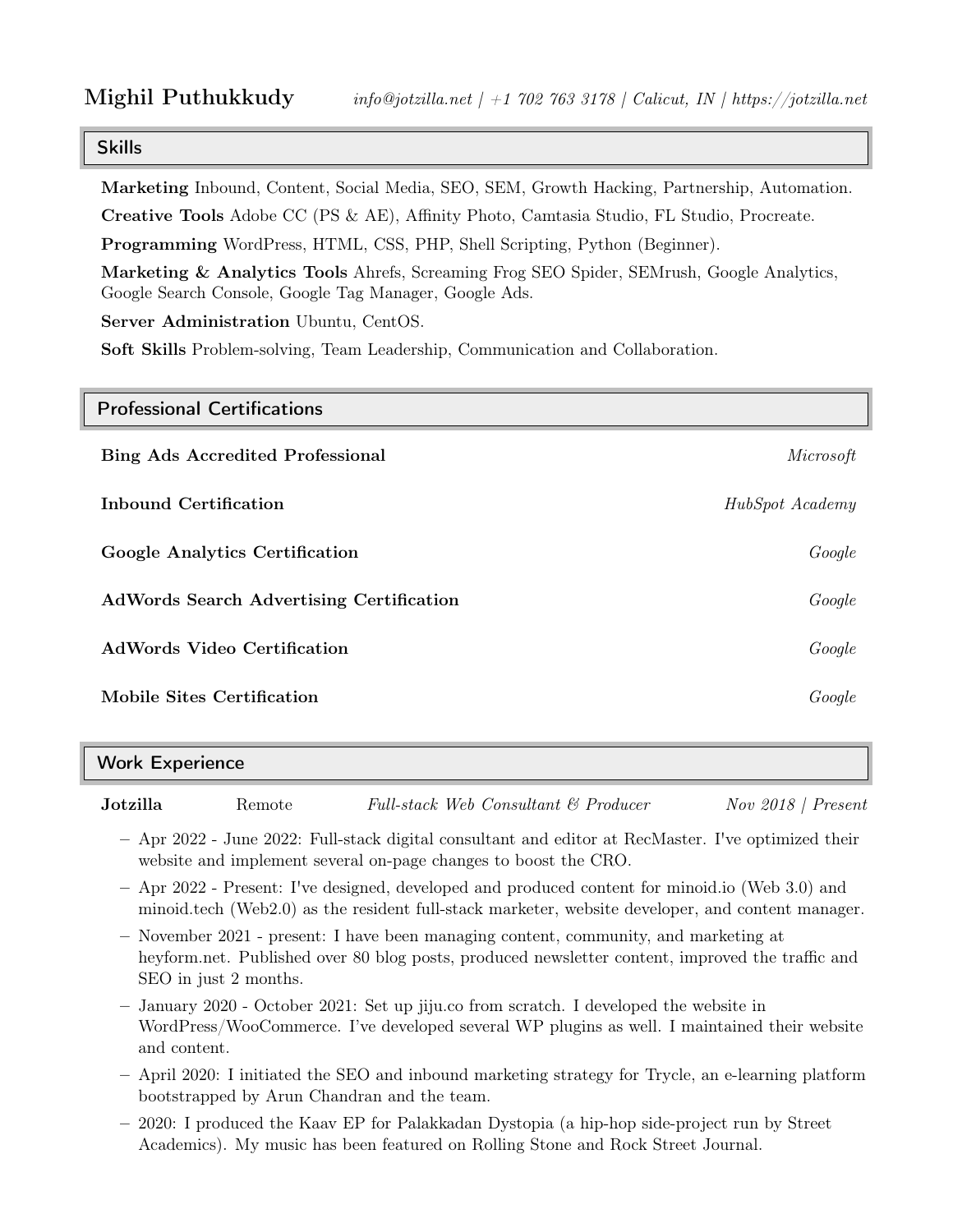# Skills

Marketing Inbound, Content, Social Media, SEO, SEM, Growth Hacking, Partnership, Automation.

Creative Tools Adobe CC (PS & AE), Affinity Photo, Camtasia Studio, FL Studio, Procreate.

Programming WordPress, HTML, CSS, PHP, Shell Scripting, Python (Beginner).

Marketing & Analytics Tools Ahrefs, Screaming Frog SEO Spider, SEMrush, Google Analytics, Google Search Console, Google Tag Manager, Google Ads.

Server Administration Ubuntu, CentOS.

Soft Skills Problem-solving, Team Leadership, Communication and Collaboration.

| <b>Professional Certifications</b>              |                 |
|-------------------------------------------------|-----------------|
| <b>Bing Ads Accredited Professional</b>         | Microsoft       |
| Inbound Certification                           | HubSpot Academy |
| <b>Google Analytics Certification</b>           | Google          |
| <b>AdWords Search Advertising Certification</b> | Google          |
| <b>AdWords Video Certification</b>              | Google          |
| Mobile Sites Certification                      | Google          |

| <b>Work Experience</b> |  |
|------------------------|--|
|                        |  |
|                        |  |

**Jotzilla** Remote Full-stack Web Consultant & Producer Nov 2018 | Present

– Apr 2022 - June 2022: Full-stack digital consultant and editor at RecMaster. I've optimized their website and implement several on-page changes to boost the CRO.

- Apr 2022 Present: I've designed, developed and produced content for minoid.io (Web 3.0) and minoid.tech (Web2.0) as the resident full-stack marketer, website developer, and content manager.
- November 2021 present: I have been managing content, community, and marketing at heyform.net. Published over 80 blog posts, produced newsletter content, improved the traffic and SEO in just 2 months.
- January 2020 October 2021: Set up jiju.co from scratch. I developed the website in WordPress/WooCommerce. I've developed several WP plugins as well. I maintained their website and content.
- April 2020: I initiated the SEO and inbound marketing strategy for Trycle, an e-learning platform bootstrapped by Arun Chandran and the team.
- 2020: I produced the Kaav EP for Palakkadan Dystopia (a hip-hop side-project run by Street Academics). My music has been featured on Rolling Stone and Rock Street Journal.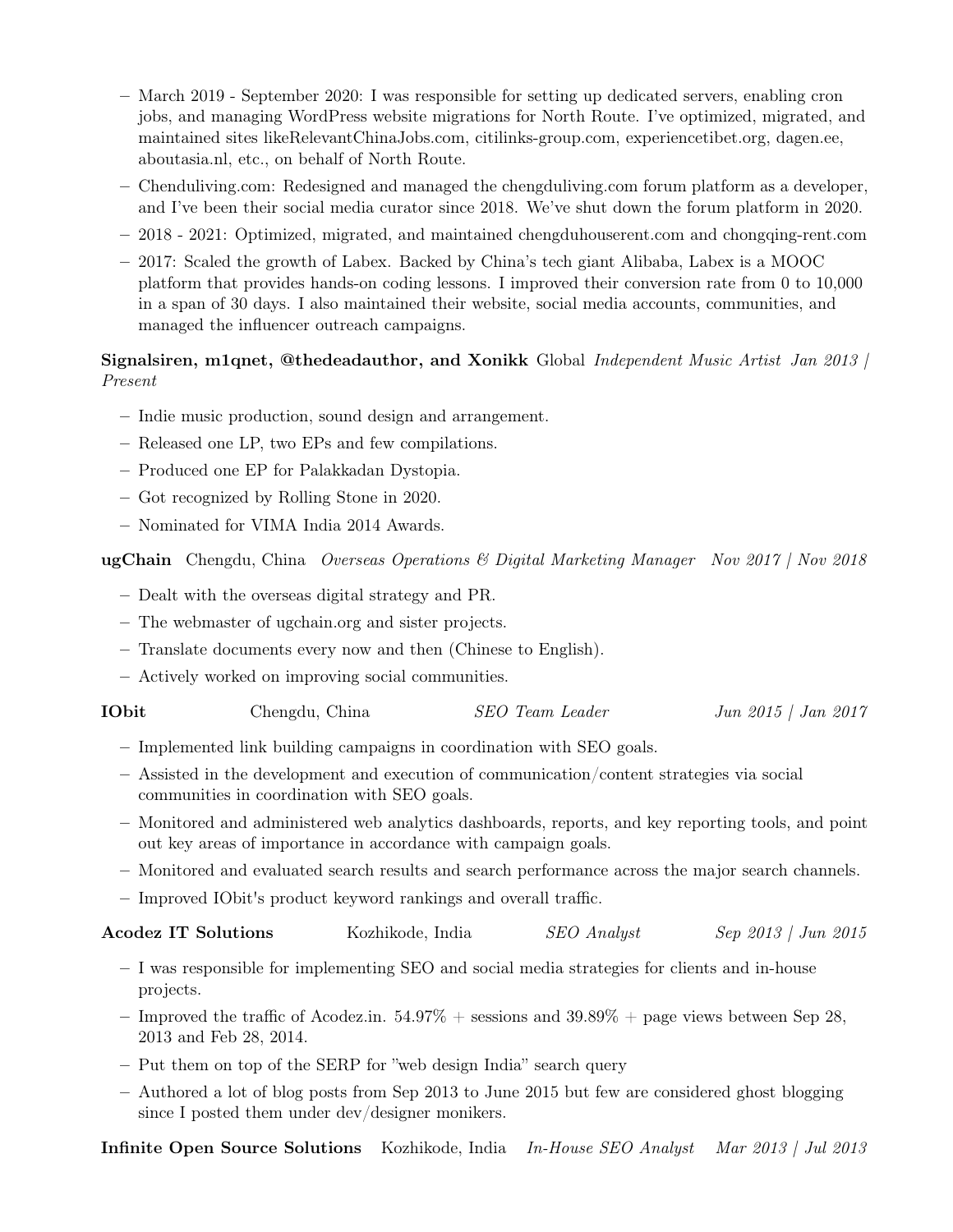- March 2019 September 2020: I was responsible for setting up dedicated servers, enabling cron jobs, and managing WordPress website migrations for North Route. I've optimized, migrated, and maintained sites likeRelevantChinaJobs.com, citilinks-group.com, experiencetibet.org, dagen.ee, aboutasia.nl, etc., on behalf of North Route.
- Chenduliving.com: Redesigned and managed the chengduliving.com forum platform as a developer, and I've been their social media curator since 2018. We've shut down the forum platform in 2020.
- 2018 2021: Optimized, migrated, and maintained chengduhouserent.com and chongqing-rent.com
- 2017: Scaled the growth of Labex. Backed by China's tech giant Alibaba, Labex is a MOOC platform that provides hands-on coding lessons. I improved their conversion rate from 0 to 10,000 in a span of 30 days. I also maintained their website, social media accounts, communities, and managed the influencer outreach campaigns.

## Signalsiren, m1qnet, @thedeadauthor, and Xonikk Global Independent Music Artist Jan 2013 | Present

- Indie music production, sound design and arrangement.
- Released one LP, two EPs and few compilations.
- Produced one EP for Palakkadan Dystopia.
- Got recognized by Rolling Stone in 2020.
- Nominated for VIMA India 2014 Awards.

**ugChain** Chengdu, China *Overseas Operations & Digital Marketing Manager* Nov 2017 | Nov 2018

- Dealt with the overseas digital strategy and PR.
- The webmaster of ugchain.org and sister projects.
- Translate documents every now and then (Chinese to English).
- Actively worked on improving social communities.

| ${\rm 10bit}$ | Chengdu, China | SEO Team Leader | Jun 2015   Jan 2017 |
|---------------|----------------|-----------------|---------------------|
|---------------|----------------|-----------------|---------------------|

- Implemented link building campaigns in coordination with SEO goals.
- Assisted in the development and execution of communication/content strategies via social communities in coordination with SEO goals.
- Monitored and administered web analytics dashboards, reports, and key reporting tools, and point out key areas of importance in accordance with campaign goals.
- Monitored and evaluated search results and search performance across the major search channels.
- Improved IObit's product keyword rankings and overall traffic.

#### **Acodez IT Solutions** Kozhikode, India SEO Analyst Sep 2013 | Jun 2015

- I was responsible for implementing SEO and social media strategies for clients and in-house projects.
- Improved the traffic of Acodez.in.  $54.97\%$  + sessions and  $39.89\%$  + page views between Sep 28, 2013 and Feb 28, 2014.
- Put them on top of the SERP for "web design India" search query
- Authored a lot of blog posts from Sep 2013 to June 2015 but few are considered ghost blogging since I posted them under dev/designer monikers.

Infinite Open Source Solutions Kozhikode, India In-House SEO Analyst Mar 2013 | Jul 2013